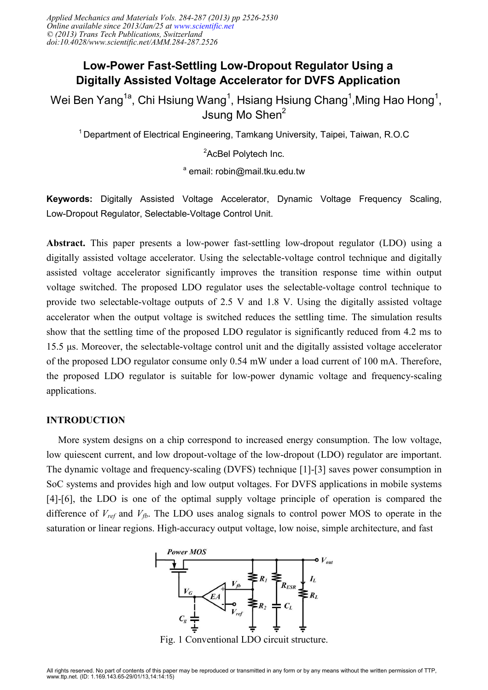# **Low-Power Fast-Settling Low-Dropout Regulator Using a Digitally Assisted Voltage Accelerator for DVFS Application**

Wei Ben Yang $^{\rm 1a}$ , Chi Hsiung Wang $^{\rm 1}$ , Hsiang Hsiung Chang $^{\rm 1}$ ,Ming Hao Hong $^{\rm 1}$ , Jsung Mo Shen<sup>2</sup>

<sup>1</sup> Department of Electrical Engineering, Tamkang University, Taipei, Taiwan, R.O.C

<sup>2</sup>AcBel Polytech Inc.

<sup>a</sup> email: robin@mail.tku.edu.tw

**Keywords:** Digitally Assisted Voltage Accelerator, Dynamic Voltage Frequency Scaling, Low-Dropout Regulator, Selectable-Voltage Control Unit.

**Abstract.** This paper presents a low-power fast-settling low-dropout regulator (LDO) using a digitally assisted voltage accelerator. Using the selectable-voltage control technique and digitally assisted voltage accelerator significantly improves the transition response time within output voltage switched. The proposed LDO regulator uses the selectable-voltage control technique to provide two selectable-voltage outputs of 2.5 V and 1.8 V. Using the digitally assisted voltage accelerator when the output voltage is switched reduces the settling time. The simulation results show that the settling time of the proposed LDO regulator is significantly reduced from 4.2 ms to 15.5 µs. Moreover, the selectable-voltage control unit and the digitally assisted voltage accelerator of the proposed LDO regulator consume only 0.54 mW under a load current of 100 mA. Therefore, the proposed LDO regulator is suitable for low-power dynamic voltage and frequency-scaling applications.

## **INTRODUCTION**

More system designs on a chip correspond to increased energy consumption. The low voltage, low quiescent current, and low dropout-voltage of the low-dropout (LDO) regulator are important. The dynamic voltage and frequency-scaling (DVFS) technique [1]-[3] saves power consumption in SoC systems and provides high and low output voltages. For DVFS applications in mobile systems [4]-[6], the LDO is one of the optimal supply voltage principle of operation is compared the difference of  $V_{ref}$  and  $V_{fb}$ . The LDO uses analog signals to control power MOS to operate in the saturation or linear regions. High-accuracy output voltage, low noise, simple architecture, and fast



Fig. 1 Conventional LDO circuit structure.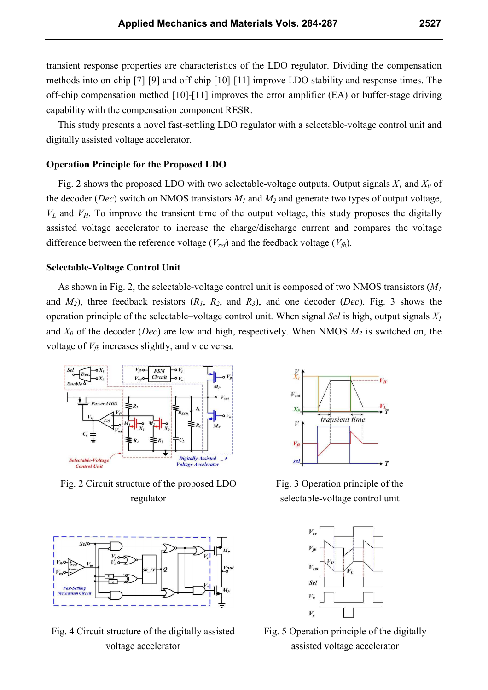transient response properties are characteristics of the LDO regulator. Dividing the compensation methods into on-chip [7]-[9] and off-chip [10]-[11] improve LDO stability and response times. The off-chip compensation method [10]-[11] improves the error amplifier (EA) or buffer-stage driving capability with the compensation component RESR.

This study presents a novel fast-settling LDO regulator with a selectable-voltage control unit and digitally assisted voltage accelerator.

## **Operation Principle for the Proposed LDO**

Fig. 2 shows the proposed LDO with two selectable-voltage outputs. Output signals  $X_I$  and  $X_O$  of the decoder (*Dec*) switch on NMOS transistors  $M<sub>1</sub>$  and  $M<sub>2</sub>$  and generate two types of output voltage,  $V_L$  and  $V_H$ . To improve the transient time of the output voltage, this study proposes the digitally assisted voltage accelerator to increase the charge/discharge current and compares the voltage difference between the reference voltage  $(V_{ref})$  and the feedback voltage  $(V_{fb})$ .

## **Selectable-Voltage Control Unit**

As shown in Fig. 2, the selectable-voltage control unit is composed of two NMOS transistors (*M<sup>1</sup>* and  $M_2$ ), three feedback resistors  $(R_1, R_2,$  and  $R_3)$ , and one decoder (*Dec*). Fig. 3 shows the operation principle of the selectable–voltage control unit. When signal *Sel* is high, output signals *X<sup>1</sup>* and *X0* of the decoder (*Dec*) are low and high, respectively. When NMOS *M2* is switched on, the voltage of  $V_{fb}$  increases slightly, and vice versa.



Fig. 2 Circuit structure of the proposed LDO regulator



Fig. 4 Circuit structure of the digitally assisted voltage accelerator



Fig. 3 Operation principle of the selectable-voltage control unit



Fig. 5 Operation principle of the digitally assisted voltage accelerator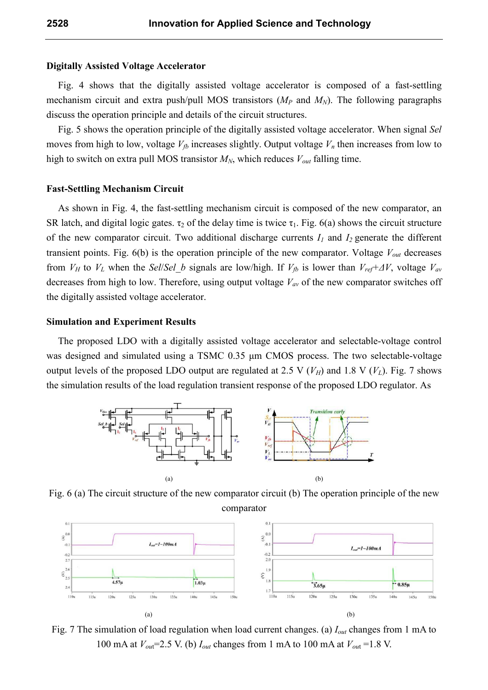#### **Digitally Assisted Voltage Accelerator**

Fig. 4 shows that the digitally assisted voltage accelerator is composed of a fast-settling mechanism circuit and extra push/pull MOS transistors  $(M_P \text{ and } M_N)$ . The following paragraphs discuss the operation principle and details of the circuit structures.

Fig. 5 shows the operation principle of the digitally assisted voltage accelerator. When signal *Sel* moves from high to low, voltage  $V<sub>f</sub>$  increases slightly. Output voltage  $V<sub>n</sub>$  then increases from low to high to switch on extra pull MOS transistor  $M_N$ , which reduces  $V_{out}$  falling time.

# **Fast-Settling Mechanism Circuit**

As shown in Fig. 4, the fast-settling mechanism circuit is composed of the new comparator, an SR latch, and digital logic gates.  $\tau_2$  of the delay time is twice  $\tau_1$ . Fig. 6(a) shows the circuit structure of the new comparator circuit. Two additional discharge currents  $I_1$  and  $I_2$  generate the different transient points. Fig. 6(b) is the operation principle of the new comparator. Voltage *Vout* decreases from *V<sub>H</sub>* to *V<sub>L</sub>* when the *Sel/Sel b* signals are low/high. If *V<sub>fb</sub>* is lower than *V<sub>ref</sub>*+ $\Delta V$ , voltage *V<sub>av</sub>* decreases from high to low. Therefore, using output voltage *Vav* of the new comparator switches off the digitally assisted voltage accelerator.

#### **Simulation and Experiment Results**

The proposed LDO with a digitally assisted voltage accelerator and selectable-voltage control was designed and simulated using a TSMC 0.35  $\mu$ m CMOS process. The two selectable-voltage output levels of the proposed LDO output are regulated at 2.5 V  $(V_H)$  and 1.8 V  $(V_L)$ . Fig. 7 shows the simulation results of the load regulation transient response of the proposed LDO regulator. As



Fig. 6 (a) The circuit structure of the new comparator circuit (b) The operation principle of the new comparator



Fig. 7 The simulation of load regulation when load current changes. (a) *Iout* changes from 1 mA to 100 mA at  $V_{out}$ =2.5 V. (b)  $I_{out}$  changes from 1 mA to 100 mA at  $V_{out}$ =1.8 V.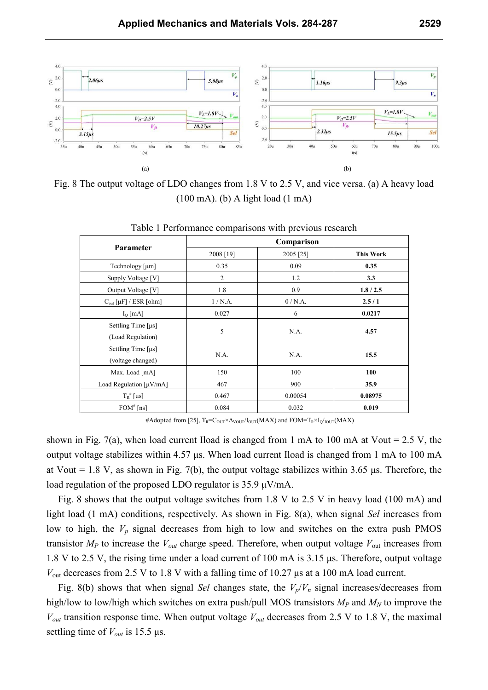

Fig. 8 The output voltage of LDO changes from 1.8 V to 2.5 V, and vice versa. (a) A heavy load (100 mA). (b) A light load (1 mA)

| <b>Parameter</b>                            | Comparison     |           |                  |
|---------------------------------------------|----------------|-----------|------------------|
|                                             | 2008 [19]      | 2005 [25] | <b>This Work</b> |
| Technology [µm]                             | 0.35           | 0.09      | 0.35             |
| Supply Voltage [V]                          | $\overline{2}$ | 1.2       | 3.3              |
| Output Voltage [V]                          | 1.8            | 0.9       | 1.8/2.5          |
| $C_{out}$ [ $\mu$ F] / ESR [ $ohm$ ]        | 1/N.A.         | 0/N.A.    | 2.5/1            |
| $I_{O}$ [mA]                                | 0.027          | 6         | 0.0217           |
| Settling Time $[\mus]$<br>(Load Regulation) | 5              | N.A.      | 4.57             |
| Settling Time $[\mus]$<br>(voltage changed) | N.A.           | N.A.      | 15.5             |
| Max. Load [mA]                              | 150            | 100       | 100              |
| Load Regulation $\lceil \mu V/mA \rceil$    | 467            | 900       | 35.9             |
| $T_R^{\#}$ [µs]                             | 0.467          | 0.00054   | 0.08975          |
| $FOM^*$ [ns]                                | 0.084          | 0.032     | 0.019            |

Table 1 Performance comparisons with previous research

#Adopted from [25], T<sub>R</sub>=C<sub>OUT</sub>×∆<sub>VOUT</sub>/I<sub>OUT</sub>(MAX) and FOM=T<sub>R</sub>×I<sub>O</sub>/<sub>IOUT</sub>(MAX)

shown in Fig. 7(a), when load current Iload is changed from 1 mA to 100 mA at Vout =  $2.5$  V, the output voltage stabilizes within 4.57 µs. When load current Iload is changed from 1 mA to 100 mA at Vout = 1.8 V, as shown in Fig. 7(b), the output voltage stabilizes within 3.65  $\mu$ s. Therefore, the load regulation of the proposed LDO regulator is 35.9 µV/mA.

Fig. 8 shows that the output voltage switches from 1.8 V to 2.5 V in heavy load (100 mA) and light load (1 mA) conditions, respectively. As shown in Fig. 8(a), when signal *Sel* increases from low to high, the  $V_p$  signal decreases from high to low and switches on the extra push PMOS transistor  $M_P$  to increase the  $V_{out}$  charge speed. Therefore, when output voltage  $V_{out}$  increases from 1.8 V to 2.5 V, the rising time under a load current of 100 mA is 3.15 µs. Therefore, output voltage *V*out decreases from 2.5 V to 1.8 V with a falling time of 10.27 µs at a 100 mA load current.

Fig. 8(b) shows that when signal *Sel* changes state, the  $V_p/V_n$  signal increases/decreases from high/low to low/high which switches on extra push/pull MOS transistors *MP* and *MN* to improve the  $V_{out}$  transition response time. When output voltage  $V_{out}$  decreases from 2.5 V to 1.8 V, the maximal settling time of *Vout* is 15.5 µs.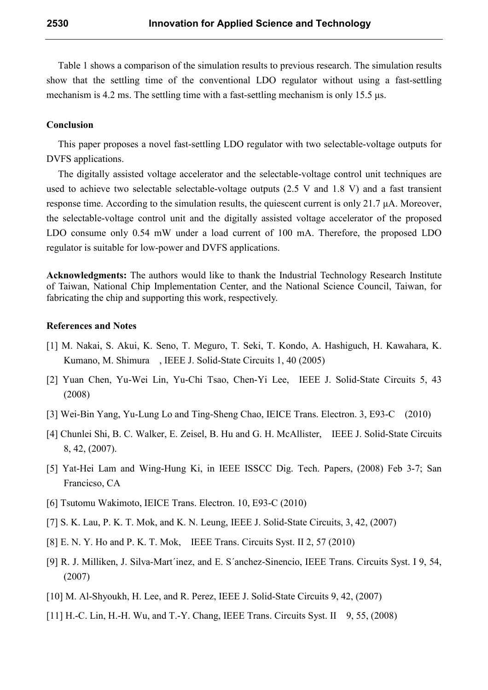Table 1 shows a comparison of the simulation results to previous research. The simulation results show that the settling time of the conventional LDO regulator without using a fast-settling mechanism is 4.2 ms. The settling time with a fast-settling mechanism is only 15.5  $\mu$ s.

## **Conclusion**

This paper proposes a novel fast-settling LDO regulator with two selectable-voltage outputs for DVFS applications.

The digitally assisted voltage accelerator and the selectable-voltage control unit techniques are used to achieve two selectable selectable-voltage outputs (2.5 V and 1.8 V) and a fast transient response time. According to the simulation results, the quiescent current is only 21.7 µA. Moreover, the selectable-voltage control unit and the digitally assisted voltage accelerator of the proposed LDO consume only 0.54 mW under a load current of 100 mA. Therefore, the proposed LDO regulator is suitable for low-power and DVFS applications.

**Acknowledgments:** The authors would like to thank the Industrial Technology Research Institute of Taiwan, National Chip Implementation Center, and the National Science Council, Taiwan, for fabricating the chip and supporting this work, respectively.

#### **References and Notes**

- [1] M. Nakai, S. Akui, K. Seno, T. Meguro, T. Seki, T. Kondo, A. Hashiguch, H. Kawahara, K. Kumano, M. Shimura , IEEE J. Solid-State Circuits 1, 40 (2005)
- [2] Yuan Chen, Yu-Wei Lin, Yu-Chi Tsao, Chen-Yi Lee, IEEE J. Solid-State Circuits 5, 43 (2008)
- [3] Wei-Bin Yang, Yu-Lung Lo and Ting-Sheng Chao, IEICE Trans. Electron. 3, E93-C (2010)
- [4] Chunlei Shi, B. C. Walker, E. Zeisel, B. Hu and G. H. McAllister, IEEE J. Solid-State Circuits 8, 42, (2007).
- [5] Yat-Hei Lam and Wing-Hung Ki, in IEEE ISSCC Dig. Tech. Papers, (2008) Feb 3-7; San Francicso, CA
- [6] Tsutomu Wakimoto, IEICE Trans. Electron. 10, E93-C (2010)
- [7] S. K. Lau, P. K. T. Mok, and K. N. Leung, IEEE J. Solid-State Circuits, 3, 42, (2007)
- [8] E. N. Y. Ho and P. K. T. Mok, IEEE Trans. Circuits Syst. II 2, 57 (2010)
- [9] R. J. Milliken, J. Silva-Mart´inez, and E. S´anchez-Sinencio, IEEE Trans. Circuits Syst. I 9, 54, (2007)
- [10] M. Al-Shyoukh, H. Lee, and R. Perez, IEEE J. Solid-State Circuits 9, 42, (2007)
- [11] H.-C. Lin, H.-H. Wu, and T.-Y. Chang, IEEE Trans. Circuits Syst. II 9, 55, (2008)